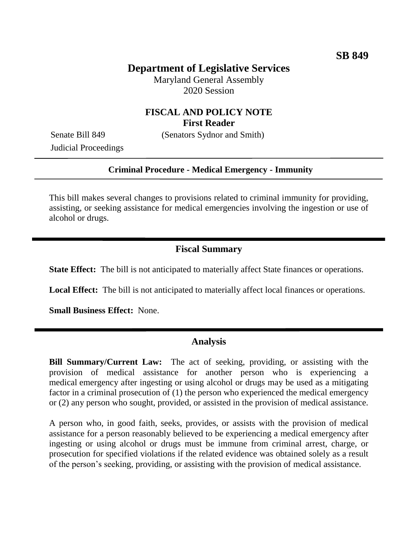## **Department of Legislative Services**

Maryland General Assembly 2020 Session

### **FISCAL AND POLICY NOTE First Reader**

Senate Bill 849 (Senators Sydnor and Smith)

Judicial Proceedings

#### **Criminal Procedure - Medical Emergency - Immunity**

This bill makes several changes to provisions related to criminal immunity for providing, assisting, or seeking assistance for medical emergencies involving the ingestion or use of alcohol or drugs.

### **Fiscal Summary**

**State Effect:** The bill is not anticipated to materially affect State finances or operations.

**Local Effect:** The bill is not anticipated to materially affect local finances or operations.

**Small Business Effect:** None.

#### **Analysis**

**Bill Summary/Current Law:** The act of seeking, providing, or assisting with the provision of medical assistance for another person who is experiencing a medical emergency after ingesting or using alcohol or drugs may be used as a mitigating factor in a criminal prosecution of (1) the person who experienced the medical emergency or (2) any person who sought, provided, or assisted in the provision of medical assistance.

A person who, in good faith, seeks, provides, or assists with the provision of medical assistance for a person reasonably believed to be experiencing a medical emergency after ingesting or using alcohol or drugs must be immune from criminal arrest, charge, or prosecution for specified violations if the related evidence was obtained solely as a result of the person's seeking, providing, or assisting with the provision of medical assistance.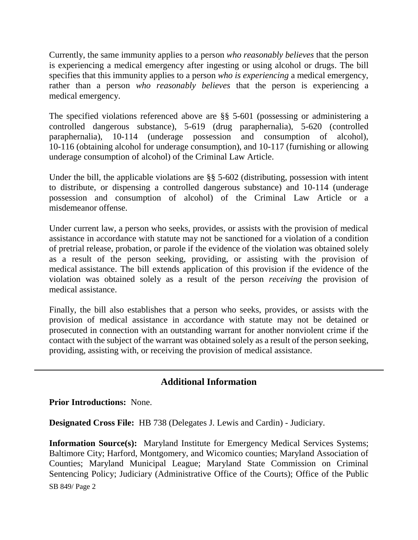Currently, the same immunity applies to a person *who reasonably believes* that the person is experiencing a medical emergency after ingesting or using alcohol or drugs. The bill specifies that this immunity applies to a person *who is experiencing* a medical emergency, rather than a person *who reasonably believes* that the person is experiencing a medical emergency.

The specified violations referenced above are §§ 5-601 (possessing or administering a controlled dangerous substance), 5-619 (drug paraphernalia), 5-620 (controlled paraphernalia), 10-114 (underage possession and consumption of alcohol), 10-116 (obtaining alcohol for underage consumption), and 10-117 (furnishing or allowing underage consumption of alcohol) of the Criminal Law Article.

Under the bill, the applicable violations are §§ 5-602 (distributing, possession with intent to distribute, or dispensing a controlled dangerous substance) and 10-114 (underage possession and consumption of alcohol) of the Criminal Law Article or a misdemeanor offense.

Under current law, a person who seeks, provides, or assists with the provision of medical assistance in accordance with statute may not be sanctioned for a violation of a condition of pretrial release, probation, or parole if the evidence of the violation was obtained solely as a result of the person seeking, providing, or assisting with the provision of medical assistance. The bill extends application of this provision if the evidence of the violation was obtained solely as a result of the person *receiving* the provision of medical assistance.

Finally, the bill also establishes that a person who seeks, provides, or assists with the provision of medical assistance in accordance with statute may not be detained or prosecuted in connection with an outstanding warrant for another nonviolent crime if the contact with the subject of the warrant was obtained solely as a result of the person seeking, providing, assisting with, or receiving the provision of medical assistance.

# **Additional Information**

**Prior Introductions:** None.

**Designated Cross File:** HB 738 (Delegates J. Lewis and Cardin) - Judiciary.

SB 849/ Page 2 **Information Source(s):** Maryland Institute for Emergency Medical Services Systems; Baltimore City; Harford, Montgomery, and Wicomico counties; Maryland Association of Counties; Maryland Municipal League; Maryland State Commission on Criminal Sentencing Policy; Judiciary (Administrative Office of the Courts); Office of the Public